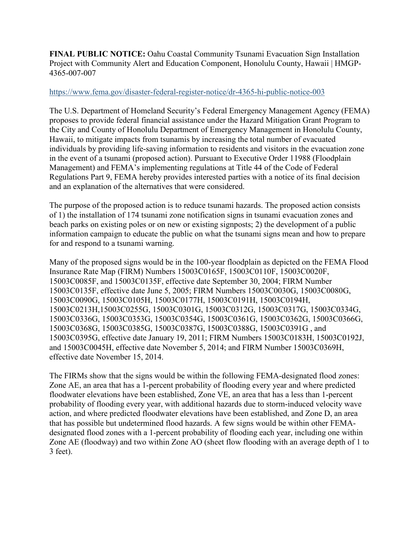**FINAL PUBLIC NOTICE:** Oahu Coastal Community Tsunami Evacuation Sign Installation Project with Community Alert and Education Component, Honolulu County, Hawaii | HMGP-4365-007-007

## <https://www.fema.gov/disaster-federal-register-notice/dr-4365-hi-public-notice-003>

The U.S. Department of Homeland Security's Federal Emergency Management Agency (FEMA) proposes to provide federal financial assistance under the Hazard Mitigation Grant Program to the City and County of Honolulu Department of Emergency Management in Honolulu County, Hawaii, to mitigate impacts from tsunamis by increasing the total number of evacuated individuals by providing life-saving information to residents and visitors in the evacuation zone in the event of a tsunami (proposed action). Pursuant to Executive Order 11988 (Floodplain Management) and FEMA's implementing regulations at Title 44 of the Code of Federal Regulations Part 9, FEMA hereby provides interested parties with a notice of its final decision and an explanation of the alternatives that were considered.

The purpose of the proposed action is to reduce tsunami hazards. The proposed action consists of 1) the installation of 174 tsunami zone notification signs in tsunami evacuation zones and beach parks on existing poles or on new or existing signposts; 2) the development of a public information campaign to educate the public on what the tsunami signs mean and how to prepare for and respond to a tsunami warning.

Many of the proposed signs would be in the 100-year floodplain as depicted on the FEMA Flood Insurance Rate Map (FIRM) Numbers 15003C0165F, 15003C0110F, 15003C0020F, 15003C0085F, and 15003C0135F, effective date September 30, 2004; FIRM Number 15003C0135F, effective date June 5, 2005; FIRM Numbers 15003C0030G, 15003C0080G, 15003C0090G, 15003C0105H, 15003C0177H, 15003C0191H, 15003C0194H, 15003C0213H,15003C0255G, 15003C0301G, 15003C0312G, 15003C0317G, 15003C0334G, 15003C0336G, 15003C0353G, 15003C0354G, 15003C0361G, 15003C0362G, 15003C0366G, 15003C0368G, 15003C0385G, 15003C0387G, 15003C0388G, 15003C0391G , and 15003C0395G, effective date January 19, 2011; FIRM Numbers 15003C0183H, 15003C0192J, and 15003C0045H, effective date November 5, 2014; and FIRM Number 15003C0369H, effective date November 15, 2014.

The FIRMs show that the signs would be within the following FEMA-designated flood zones: Zone AE, an area that has a 1-percent probability of flooding every year and where predicted floodwater elevations have been established, Zone VE, an area that has a less than 1-percent probability of flooding every year, with additional hazards due to storm-induced velocity wave action, and where predicted floodwater elevations have been established, and Zone D, an area that has possible but undetermined flood hazards. A few signs would be within other FEMAdesignated flood zones with a 1-percent probability of flooding each year, including one within Zone AE (floodway) and two within Zone AO (sheet flow flooding with an average depth of 1 to 3 feet).